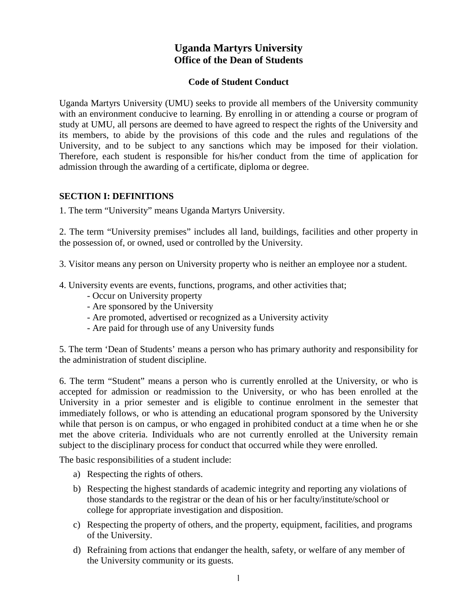# **Uganda Martyrs University Office of the Dean of Students**

#### **Code of Student Conduct**

Uganda Martyrs University (UMU) seeks to provide all members of the University community with an environment conducive to learning. By enrolling in or attending a course or program of study at UMU, all persons are deemed to have agreed to respect the rights of the University and its members, to abide by the provisions of this code and the rules and regulations of the University, and to be subject to any sanctions which may be imposed for their violation. Therefore, each student is responsible for his/her conduct from the time of application for admission through the awarding of a certificate, diploma or degree.

#### **SECTION I: DEFINITIONS**

1. The term "University" means Uganda Martyrs University.

2. The term "University premises" includes all land, buildings, facilities and other property in the possession of, or owned, used or controlled by the University.

3. Visitor means any person on University property who is neither an employee nor a student.

- 4. University events are events, functions, programs, and other activities that;
	- Occur on University property
	- Are sponsored by the University
	- Are promoted, advertised or recognized as a University activity
	- Are paid for through use of any University funds

5. The term 'Dean of Students' means a person who has primary authority and responsibility for the administration of student discipline.

6. The term "Student" means a person who is currently enrolled at the University, or who is accepted for admission or readmission to the University, or who has been enrolled at the University in a prior semester and is eligible to continue enrolment in the semester that immediately follows, or who is attending an educational program sponsored by the University while that person is on campus, or who engaged in prohibited conduct at a time when he or she met the above criteria. Individuals who are not currently enrolled at the University remain subject to the disciplinary process for conduct that occurred while they were enrolled.

The basic responsibilities of a student include:

- a) Respecting the rights of others.
- b) Respecting the highest standards of academic integrity and reporting any violations of those standards to the registrar or the dean of his or her faculty/institute/school or college for appropriate investigation and disposition.
- c) Respecting the property of others, and the property, equipment, facilities, and programs of the University.
- d) Refraining from actions that endanger the health, safety, or welfare of any member of the University community or its guests.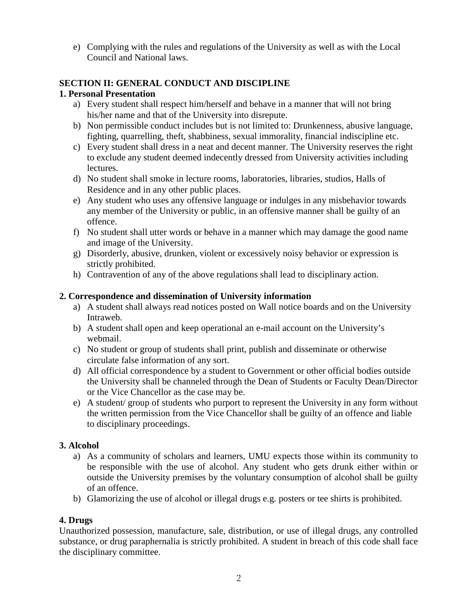e) Complying with the rules and regulations of the University as well as with the Local Council and National laws.

## **SECTION II: GENERAL CONDUCT AND DISCIPLINE**

### **1. Personal Presentation**

- a) Every student shall respect him/herself and behave in a manner that will not bring his/her name and that of the University into disrepute.
- b) Non permissible conduct includes but is not limited to: Drunkenness, abusive language, fighting, quarrelling, theft, shabbiness, sexual immorality, financial indiscipline etc.
- c) Every student shall dress in a neat and decent manner. The University reserves the right to exclude any student deemed indecently dressed from University activities including lectures.
- d) No student shall smoke in lecture rooms, laboratories, libraries, studios, Halls of Residence and in any other public places.
- e) Any student who uses any offensive language or indulges in any misbehavior towards any member of the University or public, in an offensive manner shall be guilty of an offence.
- f) No student shall utter words or behave in a manner which may damage the good name and image of the University.
- g) Disorderly, abusive, drunken, violent or excessively noisy behavior or expression is strictly prohibited.
- h) Contravention of any of the above regulations shall lead to disciplinary action.

### **2. Correspondence and dissemination of University information**

- a) A student shall always read notices posted on Wall notice boards and on the University Intraweb.
- b) A student shall open and keep operational an e-mail account on the University's webmail.
- c) No student or group of students shall print, publish and disseminate or otherwise circulate false information of any sort.
- d) All official correspondence by a student to Government or other official bodies outside the University shall be channeled through the Dean of Students or Faculty Dean/Director or the Vice Chancellor as the case may be.
- e) A student/ group of students who purport to represent the University in any form without the written permission from the Vice Chancellor shall be guilty of an offence and liable to disciplinary proceedings.

#### **3. Alcohol**

- a) As a community of scholars and learners, UMU expects those within its community to be responsible with the use of alcohol. Any student who gets drunk either within or outside the University premises by the voluntary consumption of alcohol shall be guilty of an offence.
- b) Glamorizing the use of alcohol or illegal drugs e.g. posters or tee shirts is prohibited.

## **4. Drugs**

Unauthorized possession, manufacture, sale, distribution, or use of illegal drugs, any controlled substance, or drug paraphernalia is strictly prohibited. A student in breach of this code shall face the disciplinary committee.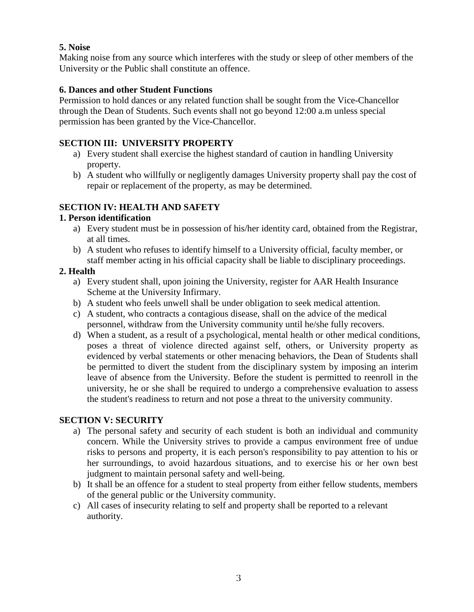### **5. Noise**

Making noise from any source which interferes with the study or sleep of other members of the University or the Public shall constitute an offence.

### **6. Dances and other Student Functions**

Permission to hold dances or any related function shall be sought from the Vice-Chancellor through the Dean of Students. Such events shall not go beyond 12:00 a.m unless special permission has been granted by the Vice-Chancellor.

## **SECTION III: UNIVERSITY PROPERTY**

- a) Every student shall exercise the highest standard of caution in handling University property.
- b) A student who willfully or negligently damages University property shall pay the cost of repair or replacement of the property, as may be determined.

## **SECTION IV: HEALTH AND SAFETY**

### **1. Person identification**

- a) Every student must be in possession of his/her identity card, obtained from the Registrar, at all times.
- b) A student who refuses to identify himself to a University official, faculty member, or staff member acting in his official capacity shall be liable to disciplinary proceedings.

### **2. Health**

- a) Every student shall, upon joining the University, register for AAR Health Insurance Scheme at the University Infirmary.
- b) A student who feels unwell shall be under obligation to seek medical attention.
- c) A student, who contracts a contagious disease, shall on the advice of the medical personnel, withdraw from the University community until he/she fully recovers.
- d) When a student, as a result of a psychological, mental health or other medical conditions, poses a threat of violence directed against self, others, or University property as evidenced by verbal statements or other menacing behaviors, the Dean of Students shall be permitted to divert the student from the disciplinary system by imposing an interim leave of absence from the University. Before the student is permitted to reenroll in the university, he or she shall be required to undergo a comprehensive evaluation to assess the student's readiness to return and not pose a threat to the university community.

## **SECTION V: SECURITY**

- a) The personal safety and security of each student is both an individual and community concern. While the University strives to provide a campus environment free of undue risks to persons and property, it is each person's responsibility to pay attention to his or her surroundings, to avoid hazardous situations, and to exercise his or her own best judgment to maintain personal safety and well-being.
- b) It shall be an offence for a student to steal property from either fellow students, members of the general public or the University community.
- c) All cases of insecurity relating to self and property shall be reported to a relevant authority.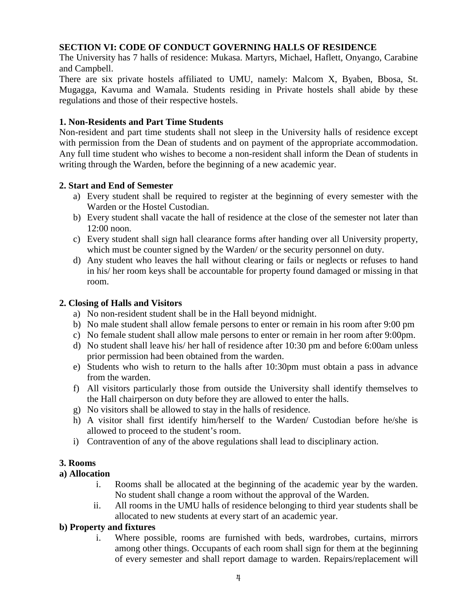### **SECTION VI: CODE OF CONDUCT GOVERNING HALLS OF RESIDENCE**

The University has 7 halls of residence: Mukasa. Martyrs, Michael, Haflett, Onyango, Carabine and Campbell.

There are six private hostels affiliated to UMU, namely: Malcom X, Byaben, Bbosa, St. Mugagga, Kavuma and Wamala. Students residing in Private hostels shall abide by these regulations and those of their respective hostels.

#### **1. Non-Residents and Part Time Students**

Non-resident and part time students shall not sleep in the University halls of residence except with permission from the Dean of students and on payment of the appropriate accommodation. Any full time student who wishes to become a non-resident shall inform the Dean of students in writing through the Warden, before the beginning of a new academic year.

#### **2. Start and End of Semester**

- a) Every student shall be required to register at the beginning of every semester with the Warden or the Hostel Custodian.
- b) Every student shall vacate the hall of residence at the close of the semester not later than 12:00 noon.
- c) Every student shall sign hall clearance forms after handing over all University property, which must be counter signed by the Warden/ or the security personnel on duty.
- d) Any student who leaves the hall without clearing or fails or neglects or refuses to hand in his/ her room keys shall be accountable for property found damaged or missing in that room.

#### **2. Closing of Halls and Visitors**

- a) No non-resident student shall be in the Hall beyond midnight.
- b) No male student shall allow female persons to enter or remain in his room after 9:00 pm
- c) No female student shall allow male persons to enter or remain in her room after 9:00pm.
- d) No student shall leave his/ her hall of residence after 10:30 pm and before 6:00am unless prior permission had been obtained from the warden.
- e) Students who wish to return to the halls after 10:30pm must obtain a pass in advance from the warden.
- f) All visitors particularly those from outside the University shall identify themselves to the Hall chairperson on duty before they are allowed to enter the halls.
- g) No visitors shall be allowed to stay in the halls of residence.
- h) A visitor shall first identify him/herself to the Warden/ Custodian before he/she is allowed to proceed to the student's room.
- i) Contravention of any of the above regulations shall lead to disciplinary action.

#### **3. Rooms**

#### **a) Allocation**

- i. Rooms shall be allocated at the beginning of the academic year by the warden. No student shall change a room without the approval of the Warden.
- ii. All rooms in the UMU halls of residence belonging to third year students shall be allocated to new students at every start of an academic year.

#### **b) Property and fixtures**

i. Where possible, rooms are furnished with beds, wardrobes, curtains, mirrors among other things. Occupants of each room shall sign for them at the beginning of every semester and shall report damage to warden. Repairs/replacement will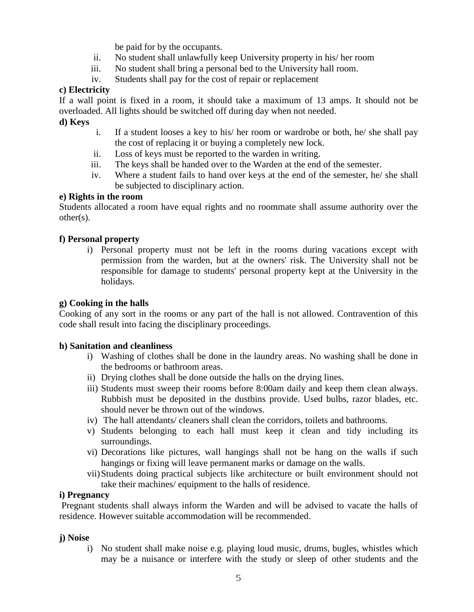be paid for by the occupants.

- ii. No student shall unlawfully keep University property in his/ her room
- iii. No student shall bring a personal bed to the University hall room.
- iv. Students shall pay for the cost of repair or replacement

#### **c) Electricity**

If a wall point is fixed in a room, it should take a maximum of 13 amps. It should not be overloaded. All lights should be switched off during day when not needed.

### **d) Keys**

- i. If a student looses a key to his/ her room or wardrobe or both, he/ she shall pay the cost of replacing it or buying a completely new lock.
- ii. Loss of keys must be reported to the warden in writing.
- iii. The keys shall be handed over to the Warden at the end of the semester.
- iv. Where a student fails to hand over keys at the end of the semester, he/ she shall be subjected to disciplinary action.

#### **e) Rights in the room**

Students allocated a room have equal rights and no roommate shall assume authority over the other(s).

### **f) Personal property**

i) Personal property must not be left in the rooms during vacations except with permission from the warden, but at the owners' risk. The University shall not be responsible for damage to students' personal property kept at the University in the holidays.

#### **g) Cooking in the halls**

Cooking of any sort in the rooms or any part of the hall is not allowed. Contravention of this code shall result into facing the disciplinary proceedings.

#### **h) Sanitation and cleanliness**

- i) Washing of clothes shall be done in the laundry areas. No washing shall be done in the bedrooms or bathroom areas.
- ii) Drying clothes shall be done outside the halls on the drying lines.
- iii) Students must sweep their rooms before 8:00am daily and keep them clean always. Rubbish must be deposited in the dustbins provide. Used bulbs, razor blades, etc. should never be thrown out of the windows.
- iv) The hall attendants/ cleaners shall clean the corridors, toilets and bathrooms.
- v) Students belonging to each hall must keep it clean and tidy including its surroundings.
- vi) Decorations like pictures, wall hangings shall not be hang on the walls if such hangings or fixing will leave permanent marks or damage on the walls.
- vii)Students doing practical subjects like architecture or built environment should not take their machines/ equipment to the halls of residence.

#### **i) Pregnancy**

 Pregnant students shall always inform the Warden and will be advised to vacate the halls of residence. However suitable accommodation will be recommended.

#### **j) Noise**

i) No student shall make noise e.g. playing loud music, drums, bugles, whistles which may be a nuisance or interfere with the study or sleep of other students and the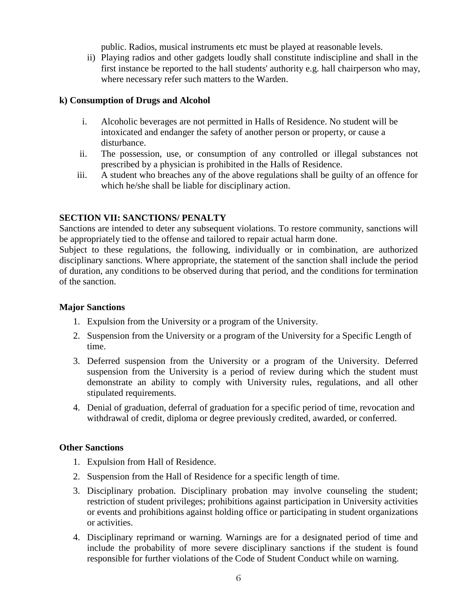public. Radios, musical instruments etc must be played at reasonable levels.

ii) Playing radios and other gadgets loudly shall constitute indiscipline and shall in the first instance be reported to the hall students' authority e.g. hall chairperson who may, where necessary refer such matters to the Warden.

#### **k) Consumption of Drugs and Alcohol**

- i. Alcoholic beverages are not permitted in Halls of Residence. No student will be intoxicated and endanger the safety of another person or property, or cause a disturbance.
- ii. The possession, use, or consumption of any controlled or illegal substances not prescribed by a physician is prohibited in the Halls of Residence.
- iii. A student who breaches any of the above regulations shall be guilty of an offence for which he/she shall be liable for disciplinary action.

#### **SECTION VII: SANCTIONS/ PENALTY**

Sanctions are intended to deter any subsequent violations. To restore community, sanctions will be appropriately tied to the offense and tailored to repair actual harm done.

Subject to these regulations, the following, individually or in combination, are authorized disciplinary sanctions. Where appropriate, the statement of the sanction shall include the period of duration, any conditions to be observed during that period, and the conditions for termination of the sanction.

#### **Major Sanctions**

- 1. Expulsion from the University or a program of the University.
- 2. Suspension from the University or a program of the University for a Specific Length of time.
- 3. Deferred suspension from the University or a program of the University. Deferred suspension from the University is a period of review during which the student must demonstrate an ability to comply with University rules, regulations, and all other stipulated requirements.
- 4. Denial of graduation, deferral of graduation for a specific period of time, revocation and withdrawal of credit, diploma or degree previously credited, awarded, or conferred.

#### **Other Sanctions**

- 1. Expulsion from Hall of Residence.
- 2. Suspension from the Hall of Residence for a specific length of time.
- 3. Disciplinary probation. Disciplinary probation may involve counseling the student; restriction of student privileges; prohibitions against participation in University activities or events and prohibitions against holding office or participating in student organizations or activities.
- 4. Disciplinary reprimand or warning. Warnings are for a designated period of time and include the probability of more severe disciplinary sanctions if the student is found responsible for further violations of the Code of Student Conduct while on warning.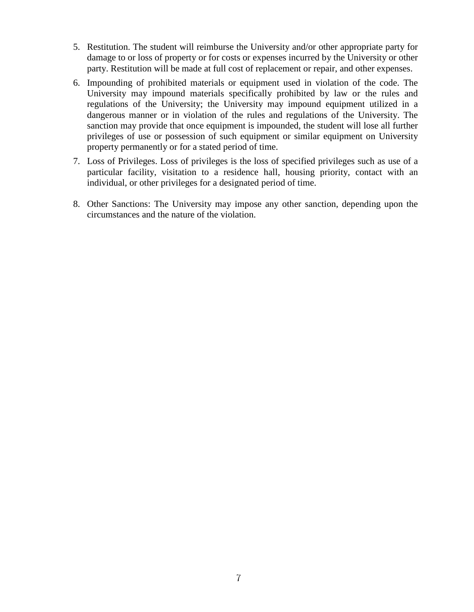- 5. Restitution. The student will reimburse the University and/or other appropriate party for damage to or loss of property or for costs or expenses incurred by the University or other party. Restitution will be made at full cost of replacement or repair, and other expenses.
- 6. Impounding of prohibited materials or equipment used in violation of the code. The University may impound materials specifically prohibited by law or the rules and regulations of the University; the University may impound equipment utilized in a dangerous manner or in violation of the rules and regulations of the University. The sanction may provide that once equipment is impounded, the student will lose all further privileges of use or possession of such equipment or similar equipment on University property permanently or for a stated period of time.
- 7. Loss of Privileges. Loss of privileges is the loss of specified privileges such as use of a particular facility, visitation to a residence hall, housing priority, contact with an individual, or other privileges for a designated period of time.
- 8. Other Sanctions: The University may impose any other sanction, depending upon the circumstances and the nature of the violation.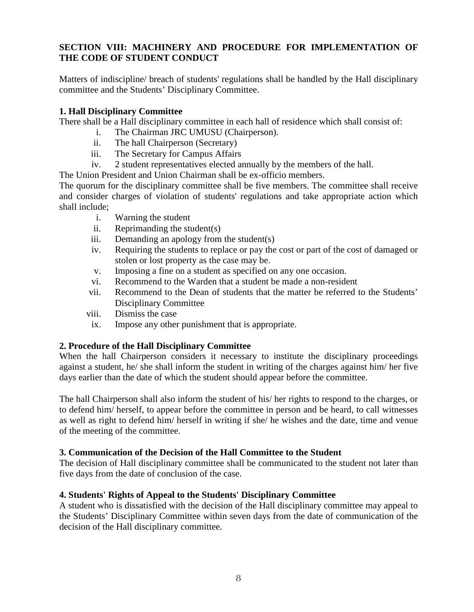### **SECTION VIII: MACHINERY AND PROCEDURE FOR IMPLEMENTATION OF THE CODE OF STUDENT CONDUCT**

Matters of indiscipline/ breach of students' regulations shall be handled by the Hall disciplinary committee and the Students' Disciplinary Committee.

#### **1. Hall Disciplinary Committee**

There shall be a Hall disciplinary committee in each hall of residence which shall consist of:

- i. The Chairman JRC UMUSU (Chairperson).
- ii. The hall Chairperson (Secretary)
- iii. The Secretary for Campus Affairs
- iv. 2 student representatives elected annually by the members of the hall.

The Union President and Union Chairman shall be ex-officio members.

The quorum for the disciplinary committee shall be five members. The committee shall receive and consider charges of violation of students' regulations and take appropriate action which shall include;

- i. Warning the student
- ii. Reprimanding the student(s)
- iii. Demanding an apology from the student(s)
- iv. Requiring the students to replace or pay the cost or part of the cost of damaged or stolen or lost property as the case may be.
- v. Imposing a fine on a student as specified on any one occasion.
- vi. Recommend to the Warden that a student be made a non-resident
- vii. Recommend to the Dean of students that the matter be referred to the Students' Disciplinary Committee
- viii. Dismiss the case
- ix. Impose any other punishment that is appropriate.

#### **2. Procedure of the Hall Disciplinary Committee**

When the hall Chairperson considers it necessary to institute the disciplinary proceedings against a student, he/ she shall inform the student in writing of the charges against him/ her five days earlier than the date of which the student should appear before the committee.

The hall Chairperson shall also inform the student of his/ her rights to respond to the charges, or to defend him/ herself, to appear before the committee in person and be heard, to call witnesses as well as right to defend him/ herself in writing if she/ he wishes and the date, time and venue of the meeting of the committee.

### **3. Communication of the Decision of the Hall Committee to the Student**

The decision of Hall disciplinary committee shall be communicated to the student not later than five days from the date of conclusion of the case.

#### **4. Students' Rights of Appeal to the Students' Disciplinary Committee**

A student who is dissatisfied with the decision of the Hall disciplinary committee may appeal to the Students' Disciplinary Committee within seven days from the date of communication of the decision of the Hall disciplinary committee.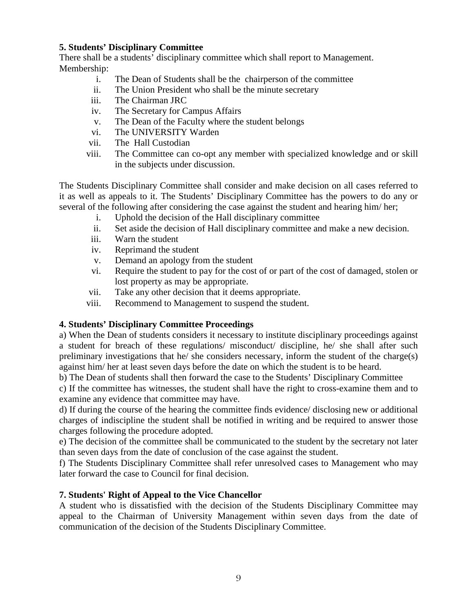#### **5. Students' Disciplinary Committee**

There shall be a students' disciplinary committee which shall report to Management. Membership:

- i. The Dean of Students shall be the chairperson of the committee
- ii. The Union President who shall be the minute secretary
- iii. The Chairman JRC
- iv. The Secretary for Campus Affairs
- v. The Dean of the Faculty where the student belongs
- vi. The UNIVERSITY Warden
- vii. The Hall Custodian
- viii. The Committee can co-opt any member with specialized knowledge and or skill in the subjects under discussion.

The Students Disciplinary Committee shall consider and make decision on all cases referred to it as well as appeals to it. The Students' Disciplinary Committee has the powers to do any or several of the following after considering the case against the student and hearing him/ her;

- i. Uphold the decision of the Hall disciplinary committee
- ii. Set aside the decision of Hall disciplinary committee and make a new decision.
- iii. Warn the student
- iv. Reprimand the student
- v. Demand an apology from the student
- vi. Require the student to pay for the cost of or part of the cost of damaged, stolen or lost property as may be appropriate.
- vii. Take any other decision that it deems appropriate.
- viii. Recommend to Management to suspend the student.

## **4. Students' Disciplinary Committee Proceedings**

a) When the Dean of students considers it necessary to institute disciplinary proceedings against a student for breach of these regulations/ misconduct/ discipline, he/ she shall after such preliminary investigations that he/ she considers necessary, inform the student of the charge(s) against him/ her at least seven days before the date on which the student is to be heard.

b) The Dean of students shall then forward the case to the Students' Disciplinary Committee

c) If the committee has witnesses, the student shall have the right to cross-examine them and to examine any evidence that committee may have.

d) If during the course of the hearing the committee finds evidence/ disclosing new or additional charges of indiscipline the student shall be notified in writing and be required to answer those charges following the procedure adopted.

e) The decision of the committee shall be communicated to the student by the secretary not later than seven days from the date of conclusion of the case against the student.

f) The Students Disciplinary Committee shall refer unresolved cases to Management who may later forward the case to Council for final decision.

## **7. Students' Right of Appeal to the Vice Chancellor**

A student who is dissatisfied with the decision of the Students Disciplinary Committee may appeal to the Chairman of University Management within seven days from the date of communication of the decision of the Students Disciplinary Committee.